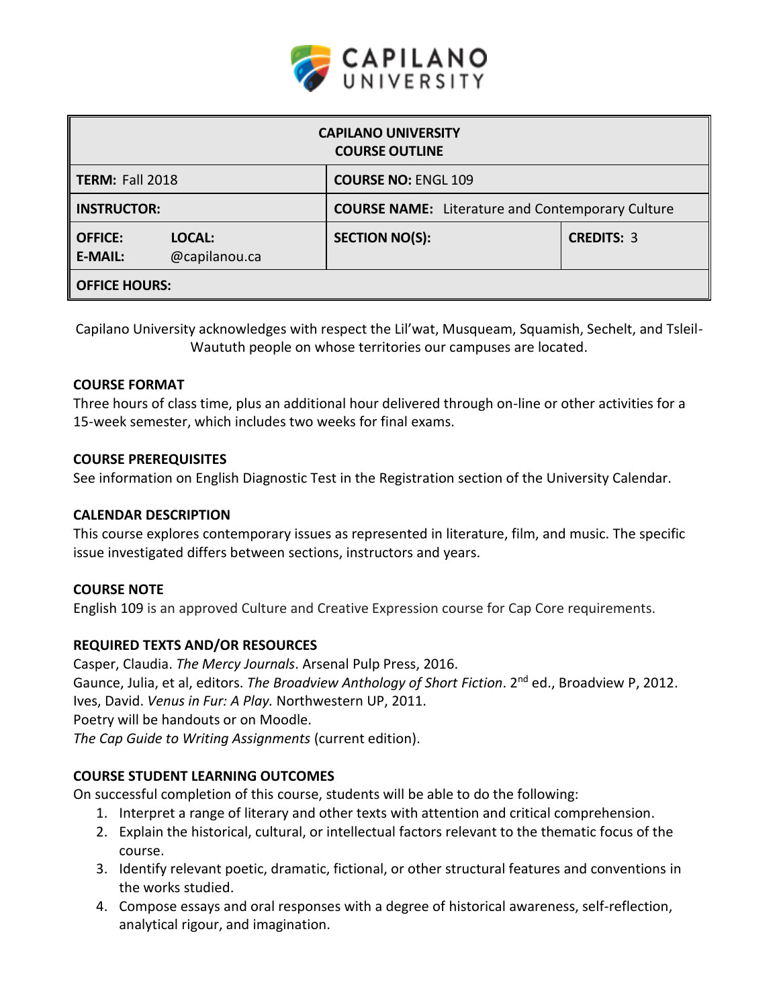

| <b>CAPILANO UNIVERSITY</b><br><b>COURSE OUTLINE</b> |                         |                                                         |                   |  |  |  |
|-----------------------------------------------------|-------------------------|---------------------------------------------------------|-------------------|--|--|--|
| <b>TERM: Fall 2018</b>                              |                         | <b>COURSE NO: ENGL 109</b>                              |                   |  |  |  |
| <b>INSTRUCTOR:</b>                                  |                         | <b>COURSE NAME:</b> Literature and Contemporary Culture |                   |  |  |  |
| <b>OFFICE:</b><br><b>E-MAIL:</b>                    | LOCAL:<br>@capilanou.ca | <b>SECTION NO(S):</b>                                   | <b>CREDITS: 3</b> |  |  |  |
| <b>OFFICE HOURS:</b>                                |                         |                                                         |                   |  |  |  |

Capilano University acknowledges with respect the Lil'wat, Musqueam, Squamish, Sechelt, and Tsleil-Waututh people on whose territories our campuses are located.

#### **COURSE FORMAT**

Three hours of class time, plus an additional hour delivered through on-line or other activities for a 15-week semester, which includes two weeks for final exams.

#### **COURSE PREREQUISITES**

See information on English Diagnostic Test in the Registration section of the University Calendar.

#### **CALENDAR DESCRIPTION**

This course explores contemporary issues as represented in literature, film, and music. The specific issue investigated differs between sections, instructors and years.

#### **COURSE NOTE**

English 109 is an approved Culture and Creative Expression course for Cap Core requirements.

#### **REQUIRED TEXTS AND/OR RESOURCES**

Casper, Claudia. *The Mercy Journals*. Arsenal Pulp Press, 2016. Gaunce, Julia, et al, editors. *The Broadview Anthology of Short Fiction*. 2nd ed., Broadview P, 2012. Ives, David. *Venus in Fur: A Play.* Northwestern UP, 2011. Poetry will be handouts or on Moodle. *The Cap Guide to Writing Assignments* (current edition).

#### **COURSE STUDENT LEARNING OUTCOMES**

On successful completion of this course, students will be able to do the following:

- 1. Interpret a range of literary and other texts with attention and critical comprehension.
- 2. Explain the historical, cultural, or intellectual factors relevant to the thematic focus of the course.
- 3. Identify relevant poetic, dramatic, fictional, or other structural features and conventions in the works studied.
- 4. Compose essays and oral responses with a degree of historical awareness, self-reflection, analytical rigour, and imagination.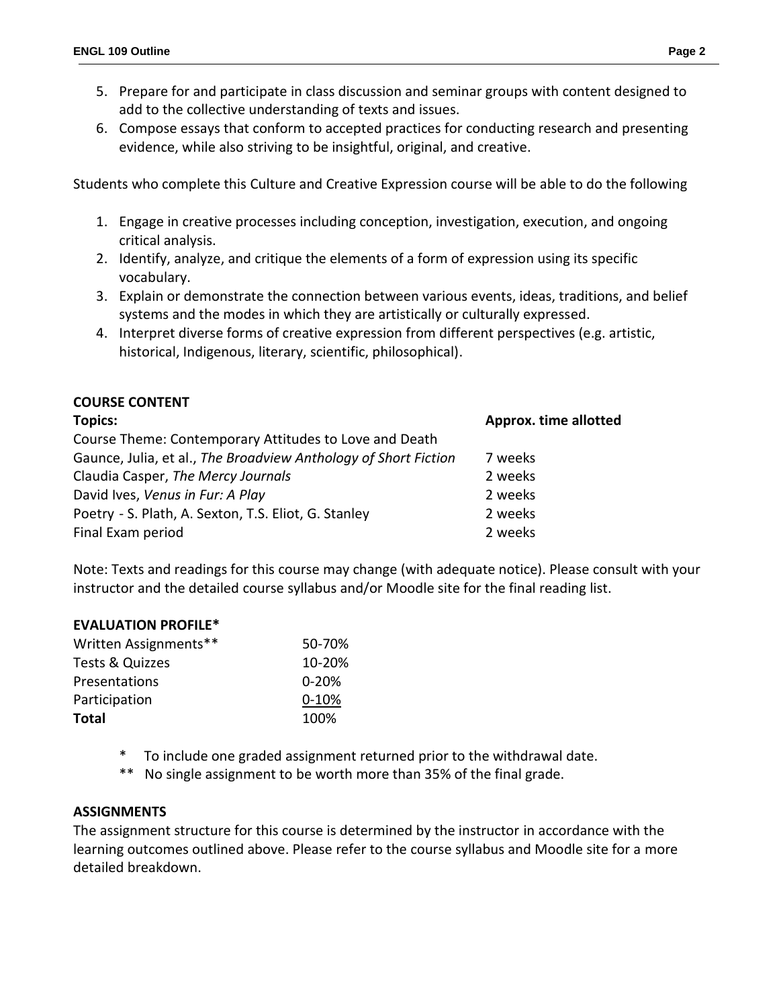- 5. Prepare for and participate in class discussion and seminar groups with content designed to add to the collective understanding of texts and issues.
- 6. Compose essays that conform to accepted practices for conducting research and presenting evidence, while also striving to be insightful, original, and creative.

Students who complete this Culture and Creative Expression course will be able to do the following

- 1. Engage in creative processes including conception, investigation, execution, and ongoing critical analysis.
- 2. Identify, analyze, and critique the elements of a form of expression using its specific vocabulary.
- 3. Explain or demonstrate the connection between various events, ideas, traditions, and belief systems and the modes in which they are artistically or culturally expressed.
- 4. Interpret diverse forms of creative expression from different perspectives (e.g. artistic, historical, Indigenous, literary, scientific, philosophical).

## **COURSE CONTENT**

| <b>Topics:</b>                                                  | <b>Approx. time allotted</b> |  |
|-----------------------------------------------------------------|------------------------------|--|
| Course Theme: Contemporary Attitudes to Love and Death          |                              |  |
| Gaunce, Julia, et al., The Broadview Anthology of Short Fiction | 7 weeks                      |  |
| Claudia Casper, The Mercy Journals                              | 2 weeks                      |  |
| David Ives, Venus in Fur: A Play                                | 2 weeks                      |  |
| Poetry - S. Plath, A. Sexton, T.S. Eliot, G. Stanley            | 2 weeks                      |  |
| Final Exam period                                               | 2 weeks                      |  |

Note: Texts and readings for this course may change (with adequate notice). Please consult with your instructor and the detailed course syllabus and/or Moodle site for the final reading list.

#### **EVALUATION PROFILE\***

| Written Assignments** | 50-70%    |
|-----------------------|-----------|
| Tests & Quizzes       | 10-20%    |
| Presentations         | $0 - 20%$ |
| Participation         | $0 - 10%$ |
| <b>Total</b>          | 100%      |

- To include one graded assignment returned prior to the withdrawal date.
- \*\* No single assignment to be worth more than 35% of the final grade.

#### **ASSIGNMENTS**

The assignment structure for this course is determined by the instructor in accordance with the learning outcomes outlined above. Please refer to the course syllabus and Moodle site for a more detailed breakdown.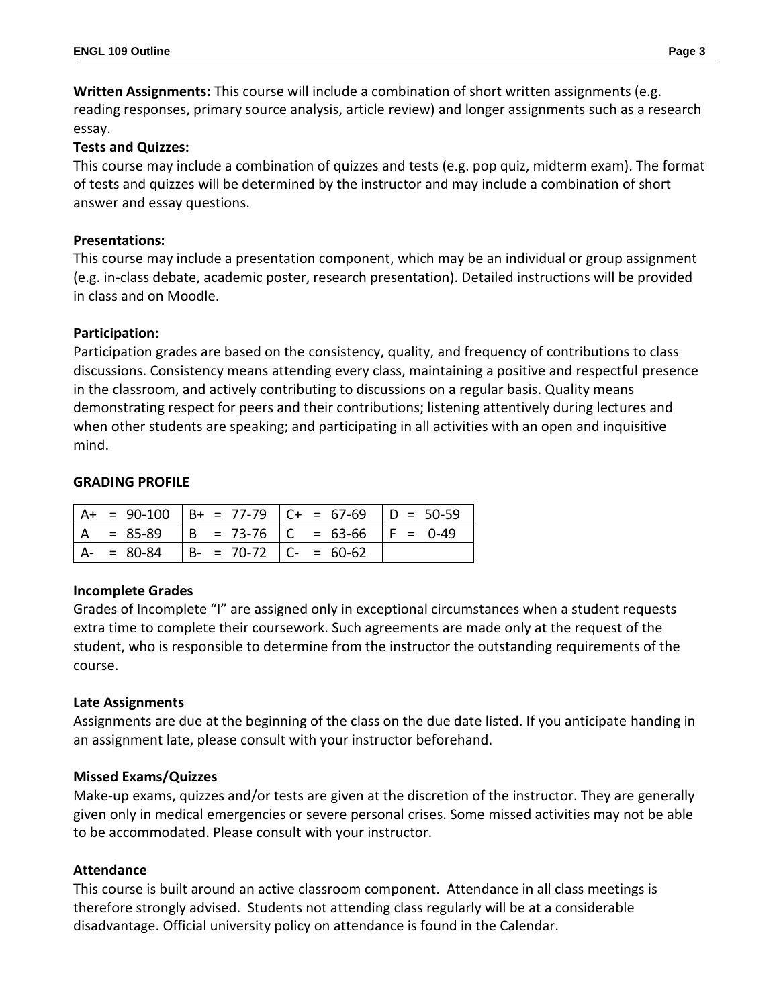**Written Assignments:** This course will include a combination of short written assignments (e.g. reading responses, primary source analysis, article review) and longer assignments such as a research essay.

### **Tests and Quizzes:**

This course may include a combination of quizzes and tests (e.g. pop quiz, midterm exam). The format of tests and quizzes will be determined by the instructor and may include a combination of short answer and essay questions.

### **Presentations:**

This course may include a presentation component, which may be an individual or group assignment (e.g. in-class debate, academic poster, research presentation). Detailed instructions will be provided in class and on Moodle.

#### **Participation:**

Participation grades are based on the consistency, quality, and frequency of contributions to class discussions. Consistency means attending every class, maintaining a positive and respectful presence in the classroom, and actively contributing to discussions on a regular basis. Quality means demonstrating respect for peers and their contributions; listening attentively during lectures and when other students are speaking; and participating in all activities with an open and inquisitive mind.

#### **GRADING PROFILE**

|               |                           | $A+ = 90-100$ $B+ = 77-79$ $C+ = 67-69$ $D = 50-59$ |  |
|---------------|---------------------------|-----------------------------------------------------|--|
| $= 85-89$     |                           | $  B = 73-76   C = 63-66   F = 0-49$                |  |
| $A - = 80-84$ | $  B - 70-72   C - 60-62$ |                                                     |  |

#### **Incomplete Grades**

Grades of Incomplete "I" are assigned only in exceptional circumstances when a student requests extra time to complete their coursework. Such agreements are made only at the request of the student, who is responsible to determine from the instructor the outstanding requirements of the course.

#### **Late Assignments**

Assignments are due at the beginning of the class on the due date listed. If you anticipate handing in an assignment late, please consult with your instructor beforehand.

# **Missed Exams/Quizzes**

Make-up exams, quizzes and/or tests are given at the discretion of the instructor. They are generally given only in medical emergencies or severe personal crises. Some missed activities may not be able to be accommodated. Please consult with your instructor.

#### **Attendance**

This course is built around an active classroom component. Attendance in all class meetings is therefore strongly advised. Students not attending class regularly will be at a considerable disadvantage. Official university policy on attendance is found in the Calendar.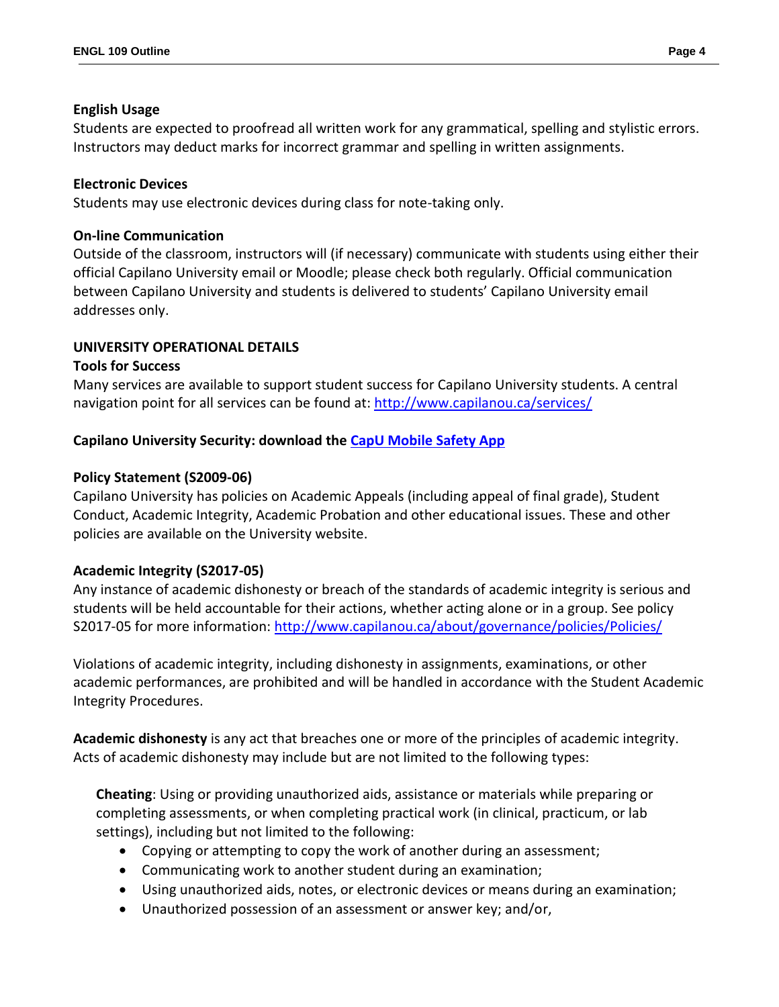#### **English Usage**

Students are expected to proofread all written work for any grammatical, spelling and stylistic errors. Instructors may deduct marks for incorrect grammar and spelling in written assignments.

### **Electronic Devices**

Students may use electronic devices during class for note-taking only.

#### **On-line Communication**

Outside of the classroom, instructors will (if necessary) communicate with students using either their official Capilano University email or Moodle; please check both regularly. Official communication between Capilano University and students is delivered to students' Capilano University email addresses only.

## **UNIVERSITY OPERATIONAL DETAILS**

#### **Tools for Success**

Many services are available to support student success for Capilano University students. A central navigation point for all services can be found at:<http://www.capilanou.ca/services/>

## **Capilano University Security: download the [CapU Mobile Safety App](https://www.capilanou.ca/services/safety-security/CapU-Mobile-Safety-App/)**

## **Policy Statement (S2009-06)**

Capilano University has policies on Academic Appeals (including appeal of final grade), Student Conduct, Academic Integrity, Academic Probation and other educational issues. These and other policies are available on the University website.

#### **Academic Integrity (S2017-05)**

Any instance of academic dishonesty or breach of the standards of academic integrity is serious and students will be held accountable for their actions, whether acting alone or in a group. See policy S2017-05 for more information:<http://www.capilanou.ca/about/governance/policies/Policies/>

Violations of academic integrity, including dishonesty in assignments, examinations, or other academic performances, are prohibited and will be handled in accordance with the Student Academic Integrity Procedures.

**Academic dishonesty** is any act that breaches one or more of the principles of academic integrity. Acts of academic dishonesty may include but are not limited to the following types:

**Cheating**: Using or providing unauthorized aids, assistance or materials while preparing or completing assessments, or when completing practical work (in clinical, practicum, or lab settings), including but not limited to the following:

- Copying or attempting to copy the work of another during an assessment;
- Communicating work to another student during an examination;
- Using unauthorized aids, notes, or electronic devices or means during an examination;
- Unauthorized possession of an assessment or answer key; and/or,